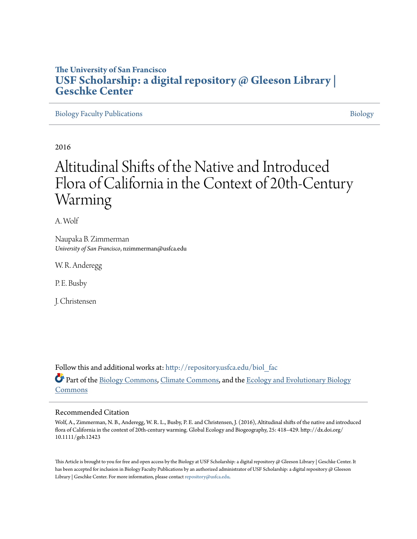### **The University of San Francisco [USF Scholarship: a digital repository @ Gleeson Library |](http://repository.usfca.edu?utm_source=repository.usfca.edu%2Fbiol_fac%2F30&utm_medium=PDF&utm_campaign=PDFCoverPages) [Geschke Center](http://repository.usfca.edu?utm_source=repository.usfca.edu%2Fbiol_fac%2F30&utm_medium=PDF&utm_campaign=PDFCoverPages)**

[Biology Faculty Publications](http://repository.usfca.edu/biol_fac?utm_source=repository.usfca.edu%2Fbiol_fac%2F30&utm_medium=PDF&utm_campaign=PDFCoverPages) **[Biology](http://repository.usfca.edu/biol?utm_source=repository.usfca.edu%2Fbiol_fac%2F30&utm_medium=PDF&utm_campaign=PDFCoverPages)** 

2016

# Altitudinal Shifts of the Native and Introduced Flora of California in the Context of 20th-Century Warming

A. Wolf

Naupaka B. Zimmerman *University of San Francisco*, nzimmerman@usfca.edu

W. R. Anderegg

P. E. Busby

J. Christensen

Follow this and additional works at: [http://repository.usfca.edu/biol\\_fac](http://repository.usfca.edu/biol_fac?utm_source=repository.usfca.edu%2Fbiol_fac%2F30&utm_medium=PDF&utm_campaign=PDFCoverPages) Part of the [Biology Commons,](http://network.bepress.com/hgg/discipline/41?utm_source=repository.usfca.edu%2Fbiol_fac%2F30&utm_medium=PDF&utm_campaign=PDFCoverPages) [Climate Commons](http://network.bepress.com/hgg/discipline/188?utm_source=repository.usfca.edu%2Fbiol_fac%2F30&utm_medium=PDF&utm_campaign=PDFCoverPages), and the [Ecology and Evolutionary Biology](http://network.bepress.com/hgg/discipline/14?utm_source=repository.usfca.edu%2Fbiol_fac%2F30&utm_medium=PDF&utm_campaign=PDFCoverPages) [Commons](http://network.bepress.com/hgg/discipline/14?utm_source=repository.usfca.edu%2Fbiol_fac%2F30&utm_medium=PDF&utm_campaign=PDFCoverPages)

#### Recommended Citation

Wolf, A., Zimmerman, N. B., Anderegg, W. R. L., Busby, P. E. and Christensen, J. (2016), Altitudinal shifts of the native and introduced flora of California in the context of 20th-century warming. Global Ecology and Biogeography, 25: 418–429. http://dx.doi.org/ 10.1111/geb.12423

This Article is brought to you for free and open access by the Biology at USF Scholarship: a digital repository @ Gleeson Library | Geschke Center. It has been accepted for inclusion in Biology Faculty Publications by an authorized administrator of USF Scholarship: a digital repository @ Gleeson Library | Geschke Center. For more information, please contact [repository@usfca.edu.](mailto:repository@usfca.edu)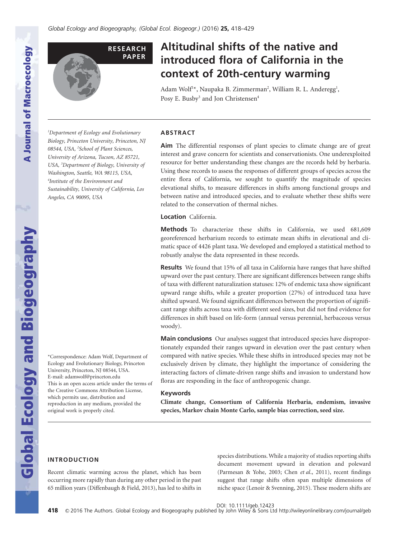

## **Altitudinal shifts of the native and introduced flora of California in the context of 20th-century warming**

Adam Wolf<sup>1</sup>\*, Naupaka B. Zimmerman<sup>2</sup>, William R. L. Anderegg<sup>1</sup>, Posy E. Busby<sup>3</sup> and Jon Christensen<sup>4</sup>

*1 Department of Ecology and Evolutionary Biology, Princeton University, Princeton, NJ 08544, USA, <sup>2</sup> School of Plant Sciences, University of Arizona, Tucson, AZ 85721, USA, <sup>3</sup> Department of Biology, University of Washington, Seattle, WA 98115, USA, 4 Institute of the Environment and Sustainability, University of California, Los Angeles, CA 90095, USA*

#### **ABSTRACT**

**Aim** The differential responses of plant species to climate change are of great interest and grave concern for scientists and conservationists. One underexploited resource for better understanding these changes are the records held by herbaria. Using these records to assess the responses of different groups of species across the entire flora of California, we sought to quantify the magnitude of species elevational shifts, to measure differences in shifts among functional groups and between native and introduced species, and to evaluate whether these shifts were related to the conservation of thermal niches.

**Location** California.

**Methods** To characterize these shifts in California, we used 681,609 georeferenced herbarium records to estimate mean shifts in elevational and climatic space of 4426 plant taxa. We developed and employed a statistical method to robustly analyse the data represented in these records.

**Results** We found that 15% of all taxa in California have ranges that have shifted upward over the past century. There are significant differences between range shifts of taxa with different naturalization statuses: 12% of endemic taxa show significant upward range shifts, while a greater proportion (27%) of introduced taxa have shifted upward. We found significant differences between the proportion of significant range shifts across taxa with different seed sizes, but did not find evidence for differences in shift based on life-form (annual versus perennial, herbaceous versus woody).

**Main conclusions** Our analyses suggest that introduced species have disproportionately expanded their ranges upward in elevation over the past century when compared with native species. While these shifts in introduced species may not be exclusively driven by climate, they highlight the importance of considering the interacting factors of climate-driven range shifts and invasion to understand how floras are responding in the face of anthropogenic change.

#### **Keywords**

**Climate change, Consortium of California Herbaria, endemism, invasive species, Markov chain Monte Carlo, sample bias correction, seed size.**

#### **INTRODUCTION**

Recent climatic warming across the planet, which has been occurring more rapidly than during any other period in the past 65 million years (Diffenbaugh & Field, 2013), has led to shifts in species distributions.While a majority of studies reporting shifts document movement upward in elevation and poleward (Parmesan & Yohe, 2003; Chen *et al*., 2011), recent findings suggest that range shifts often span multiple dimensions of niche space (Lenoir & Svenning, 2015). These modern shifts are

DOI: 10.1111/geb.12423

**Global Ecology and Biogeography** 

\*Correspondence: Adam Wolf, Department of Ecology and Evolutionary Biology, Princeton University, Princeton, NJ 08544, USA. E-mail: adamwolf@princeton.edu This is an open access article under the terms of the Creative Commons Attribution License, which permits use, distribution and reproduction in any medium, provided the original work is properly cited.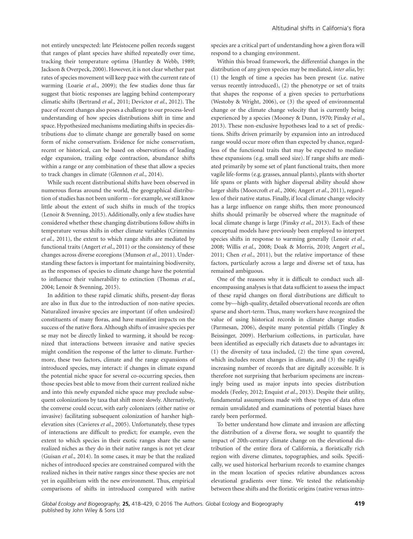not entirely unexpected: late Pleistocene pollen records suggest that ranges of plant species have shifted repeatedly over time, tracking their temperature optima (Huntley & Webb, 1989; Jackson & Overpeck, 2000). However, it is not clear whether past rates of species movement will keep pace with the current rate of warming (Loarie *et al*., 2009); the few studies done thus far suggest that biotic responses are lagging behind contemporary climatic shifts (Bertrand *et al*., 2011; Devictor *et al*., 2012). The pace of recent changes also poses a challenge to our process-level understanding of how species distributions shift in time and space. Hypothesized mechanisms mediating shifts in species distributions due to climate change are generally based on some form of niche conservatism. Evidence for niche conservatism, recent or historical, can be based on observations of leading edge expansion, trailing edge contraction, abundance shifts within a range or any combination of these that allow a species to track changes in climate (Glennon *et al*., 2014).

While such recent distributional shifts have been observed in numerous floras around the world, the geographical distribution of studies has not been uniform – for example, we still know little about the extent of such shifts in much of the tropics (Lenoir & Svenning, 2015). Additionally, only a few studies have considered whether these changing distributions follow shifts in temperature versus shifts in other climate variables (Crimmins *et al*., 2011), the extent to which range shifts are mediated by functional traits (Angert *et al*., 2011) or the consistency of these changes across diverse ecoregions (Munson *et al*., 2011). Understanding these factors is important for maintaining biodiversity, as the responses of species to climate change have the potential to influence their vulnerability to extinction (Thomas *et al*., 2004; Lenoir & Svenning, 2015).

In addition to these rapid climatic shifts, present-day floras are also in flux due to the introduction of non-native species. Naturalized invasive species are important (if often undesired) constituents of many floras, and have manifest impacts on the success of the native flora. Although shifts of invasive species per se may not be directly linked to warming, it should be recognized that interactions between invasive and native species might condition the response of the latter to climate. Furthermore, these two factors, climate and the range expansions of introduced species, may interact: if changes in climate expand the potential niche space for several co-occurring species, then those species best able to move from their current realized niche and into this newly expanded niche space may preclude subsequent colonizations by taxa that shift more slowly. Alternatively, the converse could occur, with early colonizers (either native or invasive) facilitating subsequent colonization of harsher highelevation sites (Cavieres *et al*., 2005). Unfortunately, these types of interactions are difficult to predict; for example, even the extent to which species in their exotic ranges share the same realized niches as they do in their native ranges is not yet clear (Guisan *et al*., 2014). In some cases, it may be that the realized niches of introduced species are constrained compared with the realized niches in their native ranges since these species are not yet in equilibrium with the new environment. Thus, empirical comparisons of shifts in introduced compared with native

species are a critical part of understanding how a given flora will respond to a changing environment.

Within this broad framework, the differential changes in the distribution of any given species may be mediated, *inter alia*, by: (1) the length of time a species has been present (i.e. native versus recently introduced), (2) the phenotype or set of traits that shapes the response of a given species to perturbations (Westoby & Wright, 2006), or (3) the speed of environmental change or the climate change velocity that is currently being experienced by a species (Mooney & Dunn, 1970; Pinsky *et al*., 2013). These non-exclusive hypotheses lead to a set of predictions. Shifts driven primarily by expansion into an introduced range would occur more often than expected by chance, regardless of the functional traits that may be expected to mediate these expansions (e.g. small seed size). If range shifts are mediated primarily by some set of plant functional traits, then more vagile life-forms (e.g. grasses, annual plants), plants with shorter life spans or plants with higher dispersal ability should show larger shifts (Moorcroft *et al*., 2006; Angert *et al*., 2011), regardless of their native status. Finally, if local climate change velocity has a large influence on range shifts, then more pronounced shifts should primarily be observed where the magnitude of local climate change is large (Pinsky *et al*., 2013). Each of these conceptual models have previously been employed to interpret species shifts in response to warming generally (Lenoir *et al*., 2008; Willis *et al*., 2008; Doak & Morris, 2010; Angert *et al*., 2011; Chen *et al*., 2011), but the relative importance of these factors, particularly across a large and diverse set of taxa, has remained ambiguous.

One of the reasons why it is difficult to conduct such allencompassing analyses is that data sufficient to assess the impact of these rapid changes on floral distributions are difficult to come by—high-quality, detailed observational records are often sparse and short-term. Thus, many workers have recognized the value of using historical records in climate change studies (Parmesan, 2006), despite many potential pitfalls (Tingley & Beissinger, 2009). Herbarium collections, in particular, have been identified as especially rich datasets due to advantages in: (1) the diversity of taxa included, (2) the time span covered, which includes recent changes in climate, and (3) the rapidly increasing number of records that are digitally accessible. It is therefore not surprising that herbarium specimens are increasingly being used as major inputs into species distribution models (Feeley, 2012; Enquist *et al*., 2013). Despite their utility, fundamental assumptions made with these types of data often remain unvalidated and examinations of potential biases have rarely been performed.

To better understand how climate and invasion are affecting the distribution of a diverse flora, we sought to quantify the impact of 20th-century climate change on the elevational distribution of the entire flora of California, a floristically rich region with diverse climates, topographies, and soils. Specifically, we used historical herbarium records to examine changes in the mean location of species relative abundances across elevational gradients over time. We tested the relationship between these shifts and the floristic origins (native versus intro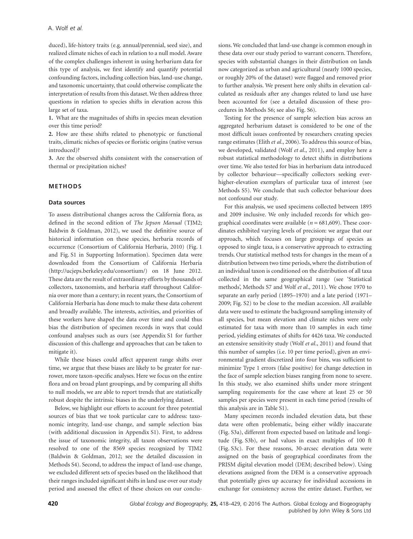duced), life-history traits (e.g. annual/perennial, seed size), and realized climate niches of each in relation to a null model. Aware of the complex challenges inherent in using herbarium data for this type of analysis, we first identify and quantify potential confounding factors, including collection bias, land-use change, and taxonomic uncertainty, that could otherwise complicate the interpretation of results from this dataset.We then address three questions in relation to species shifts in elevation across this large set of taxa.

**1.** What are the magnitudes of shifts in species mean elevation over this time period?

**2.** How are these shifts related to phenotypic or functional traits, climatic niches of species or floristic origins (native versus introduced)?

**3.** Are the observed shifts consistent with the conservation of thermal or precipitation niches?

#### **METHODS**

#### **Data sources**

To assess distributional changes across the California flora, as defined in the second edition of *The Jepson Manual* (TJM2; Baldwin & Goldman, 2012), we used the definitive source of historical information on these species, herbaria records of occurrence (Consortium of California Herbaria, 2010) (Fig. 1 and Fig. S1 in Supporting Information). Specimen data were downloaded from the Consortium of California Herbaria (http://ucjeps.berkeley.edu/consortium/) on 18 June 2012. These data are the result of extraordinary efforts by thousands of collectors, taxonomists, and herbaria staff throughout California over more than a century; in recent years, the Consortium of California Herbaria has done much to make these data coherent and broadly available. The interests, activities, and priorities of these workers have shaped the data over time and could thus bias the distribution of specimen records in ways that could confound analyses such as ours (see Appendix S1 for further discussion of this challenge and approaches that can be taken to mitigate it).

While these biases could affect apparent range shifts over time, we argue that these biases are likely to be greater for narrower, more taxon-specific analyses. Here we focus on the entire flora and on broad plant groupings, and by comparing all shifts to null models, we are able to report trends that are statistically robust despite the intrinsic biases in the underlying dataset.

Below, we highlight our efforts to account for three potential sources of bias that we took particular care to address: taxonomic integrity, land-use change, and sample selection bias (with additional discussion in Appendix S1). First, to address the issue of taxonomic integrity, all taxon observations were resolved to one of the 8569 species recognized by TJM2 (Baldwin & Goldman, 2012; see the detailed discussion in Methods S4). Second, to address the impact of land-use change, we excluded different sets of species based on the likelihood that their ranges included significant shifts in land use over our study period and assessed the effect of these choices on our conclu-

sions.We concluded that land-use change is common enough in these data over our study period to warrant concern. Therefore, species with substantial changes in their distribution on lands now categorized as urban and agricultural (nearly 1000 species, or roughly 20% of the dataset) were flagged and removed prior to further analysis. We present here only shifts in elevation calculated as residuals after any changes related to land use have been accounted for (see a detailed discussion of these procedures in Methods S6; see also Fig. S6).

Testing for the presence of sample selection bias across an aggregated herbarium dataset is considered to be one of the most difficult issues confronted by researchers creating species range estimates (Elith *et al*., 2006). To address this source of bias, we developed, validated (Wolf *et al*., 2011), and employ here a robust statistical methodology to detect shifts in distributions over time. We also tested for bias in herbarium data introduced by collector behaviour—specifically collectors seeking everhigher-elevation exemplars of particular taxa of interest (see Methods S5). We conclude that such collector behaviour does not confound our study.

For this analysis, we used specimens collected between 1895 and 2009 inclusive. We only included records for which geographical coordinates were available ( $n = 681,609$ ). These coordinates exhibited varying levels of precision: we argue that our approach, which focuses on large groupings of species as opposed to single taxa, is a conservative approach to extracting trends. Our statistical method tests for changes in the mean of a distribution between two time periods, where the distribution of an individual taxon is conditioned on the distribution of all taxa collected in the same geographical range (see 'Statistical methods', Methods S7 and Wolf *et al*., 2011). We chose 1970 to separate an early period (1895–1970) and a late period (1971– 2009; Fig. S2) to be close to the median accession. All available data were used to estimate the background sampling intensity of all species, but mean elevation and climate niches were only estimated for taxa with more than 10 samples in each time period, yielding estimates of shifts for 4426 taxa. We conducted an extensive sensitivity study (Wolf *et al*., 2011) and found that this number of samples (i.e. 10 per time period), given an environmental gradient discretized into four bins, was sufficient to minimize Type 1 errors (false positive) for change detection in the face of sample selection biases ranging from none to severe. In this study, we also examined shifts under more stringent sampling requirements for the case where at least 25 or 50 samples per species were present in each time period (results of this analysis are in Table S1).

Many specimen records included elevation data, but these data were often problematic, being either wildly inaccurate (Fig. S3a), different from expected based on latitude and longitude (Fig. S3b), or had values in exact multiples of 100 ft (Fig. S3c). For these reasons, 30-arcsec elevation data were assigned on the basis of geographical coordinates from the PRISM digital elevation model (DEM; described below). Using elevations assigned from the DEM is a conservative approach that potentially gives up accuracy for individual accessions in exchange for consistency across the entire dataset. Further, we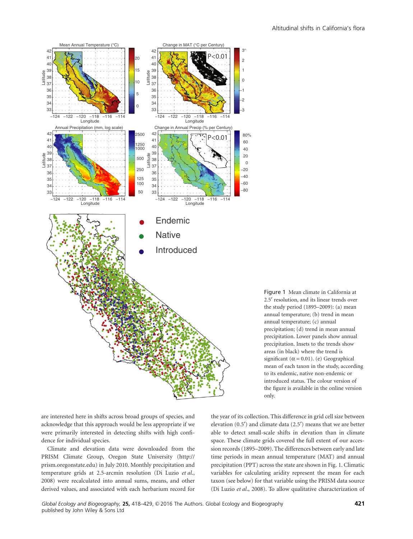

Figure 1 Mean climate in California at 2.5′ resolution, and its linear trends over the study period (1895–2009): (a) mean annual temperature; (b) trend in mean annual temperature; (c) annual precipitation; (d) trend in mean annual precipitation. Lower panels show annual precipitation. Insets to the trends show areas (in black) where the trend is significant ( $\alpha$  = 0.01). (e) Geographical mean of each taxon in the study, according to its endemic, native non-endemic or introduced status. The colour version of the figure is available in the online version only.

are interested here in shifts across broad groups of species, and acknowledge that this approach would be less appropriate if we were primarily interested in detecting shifts with high confidence for individual species.

Climate and elevation data were downloaded from the PRISM Climate Group, Oregon State University (http:// prism.oregonstate.edu) in July 2010. Monthly precipitation and temperature grids at 2.5-arcmin resolution (Di Luzio *et al*., 2008) were recalculated into annual sums, means, and other derived values, and associated with each herbarium record for

the year of its collection. This difference in grid cell size between elevation (0.5′) and climate data (2.5′) means that we are better able to detect small-scale shifts in elevation than in climate space. These climate grids covered the full extent of our accession records (1895–2009). The differences between early and late time periods in mean annual temperature (MAT) and annual precipitation (PPT) across the state are shown in Fig. 1. Climatic variables for calculating aridity represent the mean for each taxon (see below) for that variable using the PRISM data source (Di Luzio *et al*., 2008). To allow qualitative characterization of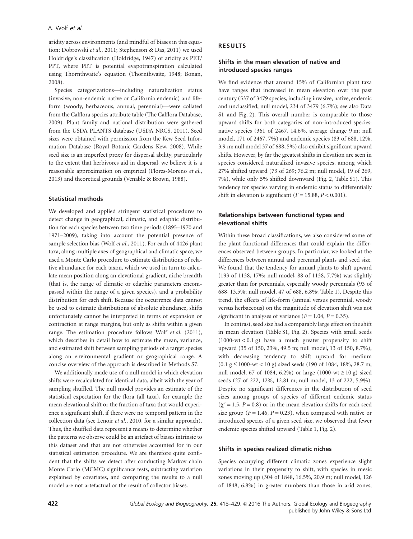aridity across environments (and mindful of biases in this equation; Dobrowski *et al*., 2011; Stephenson & Das, 2011) we used Holdridge's classification (Holdridge, 1947) of aridity as PET/ PPT, where PET is potential evapotranspiration calculated using Thornthwaite's equation (Thornthwaite, 1948; Bonan, 2008).

Species categorizations—including naturalization status (invasive, non-endemic native or California endemic) and lifeform (woody, herbaceous, annual, perennial)—were collated from the Calflora species attribute table (The Calflora Database, 2009). Plant family and national distribution were gathered from the USDA PLANTS database (USDA NRCS, 2011). Seed sizes were obtained with permission from the Kew Seed Information Database (Royal Botanic Gardens Kew, 2008). While seed size is an imperfect proxy for dispersal ability, particularly to the extent that herbivores aid in dispersal, we believe it is a reasonable approximation on empirical (Flores-Moreno *et al*., 2013) and theoretical grounds (Venable & Brown, 1988).

#### **Statistical methods**

We developed and applied stringent statistical procedures to detect change in geographical, climatic, and edaphic distribution for each species between two time periods (1895–1970 and 1971–2009), taking into account the potential presence of sample selection bias (Wolf *et al*., 2011). For each of 4426 plant taxa, along multiple axes of geographical and climatic space, we used a Monte Carlo procedure to estimate distributions of relative abundance for each taxon, which we used in turn to calculate mean position along an elevational gradient, niche breadth (that is, the range of climatic or edaphic parameters encompassed within the range of a given species), and a probability distribution for each shift. Because the occurrence data cannot be used to estimate distributions of absolute abundance, shifts unfortunately cannot be interpreted in terms of expansion or contraction at range margins, but only as shifts within a given range. The estimation procedure follows Wolf *et al*. (2011), which describes in detail how to estimate the mean, variance, and estimated shift between sampling periods of a target species along an environmental gradient or geographical range. A concise overview of the approach is described in Methods S7.

We additionally made use of a null model in which elevation shifts were recalculated for identical data, albeit with the year of sampling shuffled. The null model provides an estimate of the statistical expectation for the flora (all taxa), for example the mean elevational shift or the fraction of taxa that would experience a significant shift, if there were no temporal pattern in the collection data (see Lenoir *et al*., 2010, for a similar approach). Thus, the shuffled data represent a means to determine whether the patterns we observe could be an artefact of biases intrinsic to this dataset and that are not otherwise accounted for in our statistical estimation procedure. We are therefore quite confident that the shifts we detect after conducting Markov chain Monte Carlo (MCMC) significance tests, subtracting variation explained by covariates, and comparing the results to a null model are not artefactual or the result of collector biases.

#### **RESULTS**

#### **Shifts in the mean elevation of native and introduced species ranges**

We find evidence that around 15% of Californian plant taxa have ranges that increased in mean elevation over the past century (537 of 3479 species, including invasive, native, endemic and unclassified; null model, 234 of 3479 (6.7%); see also Data S1 and Fig. 2). This overall number is comparable to those upward shifts for both categories of non-introduced species: native species (361 of 2467, 14.6%, average change 9 m; null model, 171 of 2467, 7%) and endemic species (83 of 688, 12%, 3.9 m; null model 37 of 688, 5%) also exhibit significant upward shifts. However, by far the greatest shifts in elevation are seen in species considered naturalized invasive species, among which 27% shifted upward (73 of 269; 76.2 m; null model, 19 of 269, 7%), while only 5% shifted downward (Fig. 2, Table S1). This tendency for species varying in endemic status to differentially shift in elevation is significant  $(F = 15.88, P < 0.001)$ .

#### **Relationships between functional types and elevational shifts**

Within these broad classifications, we also considered some of the plant functional differences that could explain the differences observed between groups. In particular, we looked at the differences between annual and perennial plants and seed size. We found that the tendency for annual plants to shift upward (193 of 1138, 17%; null model, 88 of 1138, 7.7%) was slightly greater than for perennials, especially woody perennials (93 of 688, 13.5%; null model, 47 of 688, 6.8%; Table 1). Despite this trend, the effects of life-form (annual versus perennial, woody versus herbaceous) on the magnitude of elevation shift was not significant in analyses of variance  $(F = 1.04, P = 0.35)$ .

In contrast, seed size had a comparably large effect on the shift in mean elevation (Table S1, Fig. 2). Species with small seeds  $(1000-wt < 0.1 g)$  have a much greater propensity to shift upward (35 of 150, 23%, 49.5 m; null model, 13 of 150, 8.7%), with decreasing tendency to shift upward for medium  $(0.1 \text{ g} \le 1000$ -wt < 10 g) sized seeds (190 of 1084, 18%, 28.7 m; null model, 67 of 1084, 6.2%) or large (1000-wt ≥ 10 g) sized seeds (27 of 222, 12%, 12.81 m; null model, 13 of 222, 5.9%). Despite no significant differences in the distribution of seed sizes among groups of species of different endemic status  $(\chi^2 = 1.5, P = 0.8)$  or in the mean elevation shifts for each seed size group  $(F = 1.46, P = 0.23)$ , when compared with native or introduced species of a given seed size, we observed that fewer endemic species shifted upward (Table 1, Fig. 2).

#### **Shifts in species realized climatic niches**

Species occupying different climatic zones experience slight variations in their propensity to shift, with species in mesic zones moving up (304 of 1848, 16.5%, 20.9 m; null model, 126 of 1848, 6.8%) in greater numbers than those in arid zones,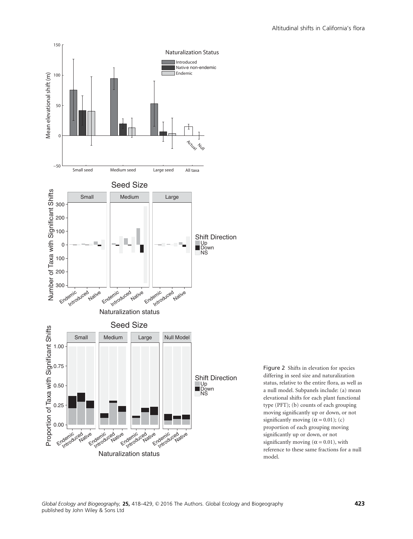



Figure 2 Shifts in elevation for species differing in seed size and naturalization status, relative to the entire flora, as well as a null model. Subpanels include: (a) mean elevational shifts for each plant functional type (PFT); (b) counts of each grouping moving significantly up or down, or not significantly moving ( $\alpha$  = 0.01); (c) proportion of each grouping moving significantly up or down, or not significantly moving ( $\alpha$  = 0.01), with reference to these same fractions for a null model.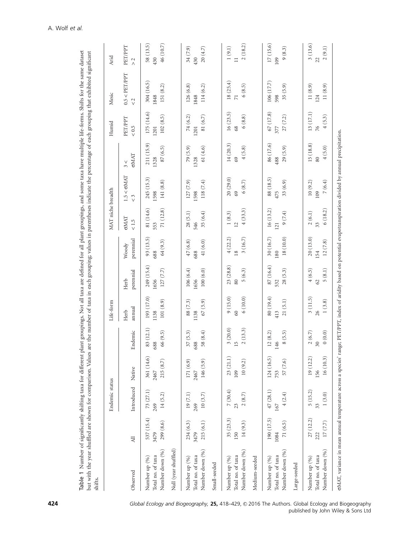|                                                                                                                                                                     |                                 | Endemic status              |                                |                                                          | Life-form                      |                                |                              | MAT niche breadth            |                                      |                                           | Humid                                 | Mesic                                | Arid                            |
|---------------------------------------------------------------------------------------------------------------------------------------------------------------------|---------------------------------|-----------------------------|--------------------------------|----------------------------------------------------------|--------------------------------|--------------------------------|------------------------------|------------------------------|--------------------------------------|-------------------------------------------|---------------------------------------|--------------------------------------|---------------------------------|
| Observed                                                                                                                                                            | $\overline{AB}$                 | Introduced                  | Native                         | Endemic                                                  | annual<br>Herb                 | perennial<br>Herb              | perennial<br>Woody           | <b>GMAT</b><br>< 1.5         | $1.5 < \sigma MAT$<br>$\tilde{\sim}$ | <b>GMAT</b><br>V<br>$\tilde{\phantom{0}}$ | PET/PPT<br>$< 0.5$                    | $0.5 <$ PET/PPT<br>$\frac{2}{3}$     | PET/PPT<br>$\geq$               |
| Null (year shuffled)<br>Number down (%)<br>Total no. of taxa<br>Number up (%)                                                                                       | 537 (15.4)<br>299 (8.6)<br>3479 | 73(27.1)<br>14(5.2)<br>269  | 361 (14.6)<br>215(8.7)<br>2467 | 83 (12.1)<br>66 (9.5)<br>œ<br>68                         | 193 (17.0)<br>101(8.9)<br>1138 | 249 (15.4)<br>127(7.7)<br>1656 | 93 (13.5)<br>64(9.3)<br>688  | 71(12.8)<br>81 (14.6)<br>553 | 245 (15.3)<br>141 (8.8)<br>1598      | 211 (15.9)<br>87 (6.5)<br>1328            | 175 (14.6)<br>102(8.5)<br>1201        | 304 (16.5)<br>151 (8.2)<br>1848      | 46 (10.7)<br>58(13.5)<br>430    |
|                                                                                                                                                                     |                                 |                             |                                |                                                          |                                |                                |                              |                              |                                      |                                           |                                       |                                      |                                 |
| Number down (%)<br>Total no. of taxa<br>Number up (%)<br>Small-seeded                                                                                               | 234 (6.3)<br>215(6.1)<br>3479   | 19(7.1)<br>10(3.7)<br>269   | 171(6.9)<br>146 (5.9)<br>2467  | 37(5.3)<br>58 $(8.4)$<br>œ<br>68                         | 88 (7.3)<br>67(5.9)<br>1138    | 106(6.4)<br>100(6.0)<br>1656   | 41 (6.0)<br>47(6.8)<br>688   | 28(5.1)<br>35(6.4)<br>546    | 118 (7.4)<br>127(7.9)<br>1598        | 61(4.6)<br>79(5.9)<br>1328                | 81 $(6.7)$<br>74 (6.2)<br>1201        | 126(6.8)<br>114 (6.2)<br>1848        | 34 (7.9)<br>20(4.7)<br>430      |
| Number down (%)<br>Total no. of taxa<br>Number up (%)<br>Medium-seeded                                                                                              | 35 (23.3)<br>14(9.3)<br>150     | 7(30.4)<br>$2\ (8.7)$<br>23 | 23(21.1)<br>10(9.2)<br>109     | 3(20.0)<br>2(13.3)                                       | 9(15.0)<br>6(10.0)<br>$\odot$  | 23(28.8)<br>5(6.3)<br>80       | 4(22.2)<br>3(16.7)<br>$18$   | 4(33.3)<br>1(8.3)<br>12      | 20(29.0)<br>6(8.7)<br>69             | 14(20.3)<br>4(5.8)<br>69                  | 16(23.5)<br>6(8.8)<br>68              | 18(25.4)<br>6(8.5)<br>$\overline{7}$ | 2(18.2)<br>$1(9.1)$<br>$\equiv$ |
| Number down (%)<br>Total no. of taxa<br>Number up (%)<br>Large-seeded                                                                                               | 190 (17.5)<br>71(6.5)<br>1084   | 47(28.1)<br>4(2.4)<br>167   | 124 (16.5)<br>57 (7.6)<br>753  | 12(8.2)<br>8(5.5)<br>$\varphi$<br>$\overline{4}$         | 80 (19.4)<br>21(5.1)<br>413    | 87(16.4)<br>28(5.3)<br>532     | 30(16.7)<br>18 (10.0)<br>180 | 16(13.2)<br>9(7.4)<br>121    | 88 (18.5)<br>33(6.9)<br>475          | 86 (17.6)<br>29(5.9)<br>488               | 67(17.8)<br>27 (7.2)<br>377           | 106 (17.7)<br>35 (5.9)<br>598        | 17 (15.6)<br>9(8.3)<br>109      |
| Number down (%)<br>Total no. of taxa<br>Number up (%)                                                                                                               | 27 (12.2)<br>17(7.7)<br>222     | 5(15.2)<br>1(3.0)<br>33     | 19(12.2)<br>16(10.3)<br>156    | $\begin{array}{c} 2 \ (6.7) \\ 30 \end{array}$<br>0(0.0) | 3(11.5)<br>1(3.8)<br>26        | $5\ (8.1)$<br>4(6.5)<br>62     | 20(13.0)<br>12(7.8)<br>154   | 6(18.2)<br>2(6.1)<br>33      | 7(6.4)<br>10(9.2)<br>109             | 15 (18.8)<br>4(5.0)<br>80                 | 13(17.1)<br>4(5.3)<br>$\overline{76}$ | 11(8.9)<br>11(8.9)<br>124            | 3(13.6)<br>2(9.1)<br>22         |
| oMAT, variance in mean annual temperature across a species' range; PET/PPT, index of aridity based on potential evapotranspiration divided by annual precipitation. |                                 |                             |                                |                                                          |                                |                                |                              |                              |                                      |                                           |                                       |                                      |                                 |

Table 1 Number of significantly shifting taxa for different plant groupings. Not all taxa are defined for all plant groupings, and some taxa have multiple life-forms. Shifts for the same dataset

Table 1 Number of significantly shifting taxa for different plant groupings. Not all taxa are defined for all plant groupings, and some taxa have multiple life-forms. Shifts for the same dataset

**424 124** Global Ecology and Biogeography, 25, 418–429, © 2016 The Authors. Global Ecology and Biogeography published by John Wiley & Sons Ltd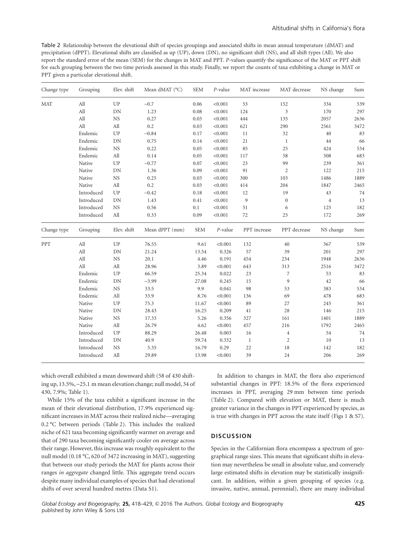Table 2 Relationship between the elevational shift of species groupings and associated shifts in mean annual temperature (dMAT) and precipitation (dPPT). Elevational shifts are classified as up (UP), down (DN), no significant shift (NS), and all shift types (All). We also report the standard error of the mean (SEM) for the changes in MAT and PPT. *P*-values quantify the significance of the MAT or PPT shift for each grouping between the two time periods assessed in this study. Finally, we report the counts of taxa exhibiting a change in MAT or PPT given a particular elevational shift.

| Change type | Grouping   | Elev. shift | Mean dMAT (°C) | <b>SEM</b> | P-value | MAT increase   | MAT decrease     | NS change | Sum                                    |
|-------------|------------|-------------|----------------|------------|---------|----------------|------------------|-----------|----------------------------------------|
| <b>MAT</b>  | All        | UP          | $-0.7$         | 0.06       | < 0.001 | 53             | 152              | 334       | 539                                    |
|             | All        | DN          | 1.23           | 0.08       | < 0.001 | 124            | $\mathfrak{Z}$   | 170       | 297                                    |
|             | All        | NS          | 0.27           | 0.03       | < 0.001 | 444            | 135              | 2057      | 2636                                   |
|             | All        | All         | 0.2            | 0.03       | < 0.001 | 621            | 290              | 2561      | 3472                                   |
|             | Endemic    | UP          | $-0.84$        | 0.17       | < 0.001 | 11             | 32               | 40        | 83                                     |
|             | Endemic    | DN          | 0.75           | 0.14       | < 0.001 | 21             | $\mathbf{1}$     | 44        | 66                                     |
|             | Endemic    | $_{\rm NS}$ | 0.22           | 0.05       | < 0.001 | 85             | 25               | 424       | 534                                    |
|             | Endemic    | All         | 0.14           | 0.05       | < 0.001 | 117            | 58               | 508       | 683                                    |
|             | Native     | UP          | $-0.77$        | 0.07       | < 0.001 | 23             | 99               | 239       | 361                                    |
|             | Native     | DN          | 1.36           | 0.09       | < 0.001 | 91             | $\sqrt{2}$       | 122       | 215                                    |
|             | Native     | NS          | 0.25           | 0.03       | < 0.001 | 300            | 103              | 1486      | 1889                                   |
|             | Native     | All         | 0.2            | 0.03       | < 0.001 | 414            | 204              | 1847      | 2465                                   |
|             | Introduced | ${\cal UP}$ | $-0.42$        | 0.18       | < 0.001 | 12             | 19               | 43        | 74                                     |
|             | Introduced | DN          | 1.43           | 0.41       | < 0.001 | $\overline{9}$ | $\boldsymbol{0}$ | $\,4\,$   | 13                                     |
|             | Introduced | <b>NS</b>   | 0.56           | 0.1        | < 0.001 | 51             | 6                | 125       | 182                                    |
|             | Introduced | All         | 0.33           | 0.09       | < 0.001 | 72             | 25               | 172       | 269                                    |
| Change type | Grouping   | Elev. shift | Mean dPPT (mm) | <b>SEM</b> | P-value | PPT increase   | PPT decrease     | NS change | Sum                                    |
|             |            |             |                |            |         |                |                  |           |                                        |
|             | All        | ${\rm UP}$  | 76.55          | 9.61       | < 0.001 | 132            | $40\,$           | 367       |                                        |
| ${\rm PPT}$ | All        | ${\rm DN}$  | 21.24          | 13.54      | 0.326   |                | 39               | 201       |                                        |
|             | All        | $_{\rm NS}$ | 20.1           | 4.46       | 0.191   | 57<br>454      | 234              | 1948      |                                        |
|             | All        | All         | 28.96          | 3.89       | < 0.001 | 643            | 313              | 2516      |                                        |
|             | Endemic    | ${\rm UP}$  | 66.59          | 25.34      | 0.022   |                | 7                | 53        |                                        |
|             | Endemic    | DN          | $-3.99$        | 27.08      | 0.245   | 23<br>15       | 9                | 42        | 539<br>297<br>2636<br>3472<br>83<br>66 |
|             | Endemic    | $_{\rm NS}$ | 33.5           | 9.9        | 0.041   | 98             | 53               | 383       |                                        |
|             | Endemic    | All         | 33.9           | 8.76       | < 0.001 | 136            | 69               | 478       | 534<br>683                             |
|             | Native     | ${\rm UP}$  | 75.3           | 11.67      | < 0.001 | 89             | 27               | 245       |                                        |
|             | Native     | ${\rm DN}$  | 28.43          | 16.25      | 0.209   | 41             | 28               | 146       | 361                                    |
|             | Native     | NS          | 17.33          | 5.26       | 0.356   | 327            | 161              | 1401      | 215                                    |
|             | Native     | All         | 26.79          | 4.62       | < 0.001 | 457            | 216              | 1792      | 1889<br>2465                           |
|             | Introduced | UP          | 88.29          | 26.48      | 0.003   | 16             | $\overline{4}$   | 54        |                                        |
|             | Introduced | DN          | 40.9           | 59.74      | 0.332   | $\mathbf{1}$   | 2                | 10        | 74<br>13                               |
|             | Introduced | $_{\rm NS}$ | 5.35           | 16.79      | 0.29    | 22             | 18               | 142       | 182                                    |

which overall exhibited a mean downward shift (58 of 430 shifting up, 13.5%, −25.1 m mean elevation change; null model, 34 of 430, 7.9%; Table 1).

While 15% of the taxa exhibit a significant increase in the mean of their elevational distribution, 17.9% experienced significant increases in MAT across their realized niche—averaging 0.2 °C between periods (Table 2). This includes the realized niche of 621 taxa becoming significantly warmer on average and that of 290 taxa becoming significantly cooler on average across their range. However, this increase was roughly equivalent to the null model (0.18 °C, 620 of 3472 increasing in MAT), suggesting that between our study periods the MAT for plants across their ranges *in aggregate* changed little. This aggregate trend occurs despite many individual examples of species that had elevational shifts of over several hundred metres (Data S1).

In addition to changes in MAT, the flora also experienced substantial changes in PPT: 18.5% of the flora experienced increases in PPT, averaging 29 mm between time periods (Table 2). Compared with elevation or MAT, there is much greater variance in the changes in PPT experienced by species, as is true with changes in PPT across the state itself (Figs 1 & S7).

#### **DISCUSSION**

Species in the Californian flora encompass a spectrum of geographical range sizes. This means that significant shifts in elevation may nevertheless be small in absolute value, and conversely large estimated shifts in elevation may be statistically insignificant. In addition, within a given grouping of species (e.g. invasive, native, annual, perennial), there are many individual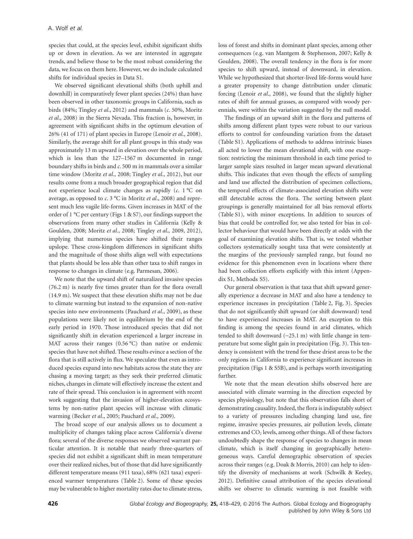species that could, at the species level, exhibit significant shifts up or down in elevation. As we are interested in aggregate trends, and believe those to be the most robust considering the data, we focus on them here. However, we do include calculated shifts for individual species in Data S1.

We observed significant elevational shifts (both uphill and downhill) in comparatively fewer plant species (24%) than have been observed in other taxonomic groups in California, such as birds (84%; Tingley *et al*., 2012) and mammals (*c*. 50%, Moritz *et al*., 2008) in the Sierra Nevada. This fraction is, however, in agreement with significant shifts in the optimum elevation of 26% (41 of 171) of plant species in Europe (Lenoir *et al*., 2008). Similarly, the average shift for all plant groups in this study was approximately 13 m upward in elevation over the whole period, which is less than the 127–1567 m documented in range boundary shifts in birds and *c*. 500 m in mammals over a similar time window (Moritz *et al*., 2008; Tingley *et al*., 2012), but our results come from a much broader geographical region that did not experience local climate changes as rapidly (*c*. 1 °C on average, as opposed to *c*. 3 °C in Moritz *et al*., 2008) and represent much less vagile life-forms. Given increases in MAT of the order of 1 °C per century (Figs 1 & S7), our findings support the observations from many other studies in California (Kelly & Goulden, 2008; Moritz *et al*., 2008; Tingley *et al*., 2009, 2012), implying that numerous species have shifted their ranges upslope. These cross-kingdom differences in significant shifts and the magnitude of those shifts align well with expectations that plants should be less able than other taxa to shift ranges in response to changes in climate (e.g. Parmesan, 2006).

We note that the upward shift of naturalized invasive species (76.2 m) is nearly five times greater than for the flora overall (14.9 m). We suspect that these elevation shifts may not be due to climate warming but instead to the expansion of non-native species into new environments (Pauchard *et al*., 2009), as these populations were likely not in equilibrium by the end of the early period in 1970. Those introduced species that did not significantly shift in elevation experienced a larger increase in MAT across their ranges (0.56 °C) than native or endemic species that have not shifted. These results evince a section of the flora that is still actively in flux. We speculate that even as introduced species expand into new habitats across the state they are chasing a moving target; as they seek their preferred climatic niches, changes in climate will effectively increase the extent and rate of their spread. This conclusion is in agreement with recent work suggesting that the invasion of higher-elevation ecosystems by non-native plant species will increase with climatic warming (Becker *et al*., 2005; Pauchard *et al*., 2009).

The broad scope of our analysis allows us to document a multiplicity of changes taking place across California's diverse flora; several of the diverse responses we observed warrant particular attention. It is notable that nearly three-quarters of species did not exhibit a significant shift in mean temperature over their realized niches, but of those that did have significantly different temperature means (911 taxa), 68% (621 taxa) experienced warmer temperatures (Table 2). Some of these species may be vulnerable to higher mortality rates due to climate stress,

loss of forest and shifts in dominant plant species, among other consequences (e.g. van Mantgem & Stephenson, 2007; Kelly & Goulden, 2008). The overall tendency in the flora is for more species to shift upward, instead of downward, in elevation. While we hypothesized that shorter-lived life-forms would have a greater propensity to change distribution under climatic forcing (Lenoir *et al*., 2008), we found that the slightly higher rates of shift for annual grasses, as compared with woody perennials, were within the variation suggested by the null model.

The findings of an upward shift in the flora and patterns of shifts among different plant types were robust to our various efforts to control for confounding variation from the dataset (Table S1). Applications of methods to address intrinsic biases all acted to lower the mean elevational shift, with one exception: restricting the minimum threshold in each time period to larger sample sizes resulted in larger mean upward elevational shifts. This indicates that even though the effects of sampling and land use affected the distribution of specimen collections, the temporal effects of climate-associated elevation shifts were still detectable across the flora. The sorting between plant groupings is generally maintained for all bias removal efforts (Table S1), with minor exceptions. In addition to sources of bias that could be controlled for, we also tested for bias in collector behaviour that would have been directly at odds with the goal of examining elevation shifts. That is, we tested whether collectors systematically sought taxa that were consistently at the margins of the previously sampled range, but found no evidence for this phenomenon even in locations where there had been collection efforts explicitly with this intent (Appendix S1, Methods S5).

Our general observation is that taxa that shift upward generally experience a decrease in MAT and also have a tendency to experience increases in precipitation (Table 2, Fig. 3). Species that do not significantly shift upward (or shift downward) tend to have experienced increases in MAT. An exception to this finding is among the species found in arid climates, which tended to shift downward (−25.1 m) with little change in temperature but some slight gain in precipitation (Fig. 3). This tendency is consistent with the trend for these driest areas to be the only regions in California to experience significant increases in precipitation (Figs 1 & S5B), and is perhaps worth investigating further.

We note that the mean elevation shifts observed here are associated with climate warming in the direction expected by species physiology, but note that this observation falls short of demonstrating causality. Indeed, the flora is indisputably subject to a variety of pressures including changing land use, fire regime, invasive species pressures, air pollution levels, climate extremes and CO<sub>2</sub> levels, among other things. All of these factors undoubtedly shape the response of species to changes in mean climate, which is itself changing in geographically heterogeneous ways. Careful demographic observation of species across their ranges (e.g. Doak & Morris, 2010) can help to identify the diversity of mechanisms at work (Schwilk & Keeley, 2012). Definitive causal attribution of the species elevational shifts we observe to climatic warming is not feasible with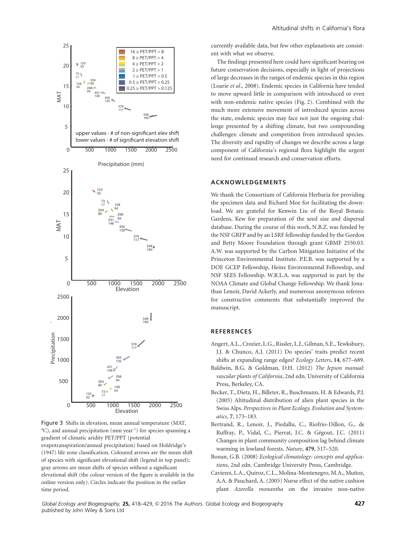

Figure 3 Shifts in elevation, mean annual temperature (MAT,  $^{\circ}$ C), and annual precipitation (mm year<sup>-1</sup>) for species spanning a gradient of climatic aridity PET/PPT (potential evapotranspiration/annual precipitation) based on Holdridge's (1947) life zone classification. Coloured arrows are the mean shift of species with significant elevational shift (legend in top panel); gray arrows are mean shifts of species without a significant elevational shift (the colour version of the figure is available in the online version only). Circles indicate the position in the earlier time period.

currently available data, but few other explanations are consistent with what we observe.

The findings presented here could have significant bearing on future conservation decisions, especially in light of projections of large decreases in the ranges of endemic species in this region (Loarie *et al*., 2008). Endemic species in California have tended to move upward little in comparison with introduced or even with non-endemic native species (Fig. 2). Combined with the much more extensive movement of introduced species across the state, endemic species may face not just the ongoing challenge presented by a shifting climate, but two compounding challenges: climate and competition from introduced species. The diversity and rapidity of changes we describe across a large component of California's regional flora highlight the urgent need for continued research and conservation efforts.

#### **ACKNOWLEDGEMENTS**

We thank the Consortium of California Herbaria for providing the specimen data and Richard Moe for facilitating the download. We are grateful for Kenwin Liu of the Royal Botanic Gardens, Kew for preparation of the seed size and dispersal database. During the course of this work, N.B.Z. was funded by the NSF GRFP and by an LSRF fellowship funded by the Gordon and Betty Moore Foundation through grant GBMF 2550.03. A.W. was supported by the Carbon Mitigation Initiative of the Princeton Environmental Institute. P.E.B. was supported by a DOE GCEP Fellowship, Heinz Environmental Fellowship, and NSF SEES Fellowship. W.R.L.A. was supported in part by the NOAA Climate and Global Change Fellowship. We thank Jonathan Lenoir, David Ackerly, and numerous anonymous referees for constructive comments that substantially improved the manuscript.

#### **REFERENCES**

- Angert, A.L., Crozier, L.G., Rissler, L.J., Gilman, S.E., Tewksbury, J.J. & Chunco, A.J. (2011) Do species' traits predict recent shifts at expanding range edges? *Ecology Letters*, **14**, 677–689.
- Baldwin, B.G. & Goldman, D.H. (2012) *The Jepson manual: vascular plants of California*, 2nd edn. University of California Press, Berkeley, CA.
- Becker, T., Dietz, H., Billeter, R., Buschmann, H. & Edwards, P.J. (2005) Altitudinal distribution of alien plant species in the Swiss Alps. *Perspectives in Plant Ecology, Evolution and Systematics*, **7**, 173–183.
- Bertrand, R., Lenoir, J., Piedallu, C., Riofrío-Dillon, G., de Ruffray, P., Vidal, C., Pierrat, J.C. & Gégout, J.C. (2011) Changes in plant community composition lag behind climate warming in lowland forests. *Nature*, **479**, 517–520.
- Bonan, G.B. (2008) *Ecological climatology: concepts and applications*, 2nd edn. Cambridge University Press, Cambridge.
- Cavieres, L.A., Quiroz, C.L., Molina-Montenegro, M.A., Muñoz, A.A. & Pauchard, A. (2005) Nurse effect of the native cushion plant *Azorella monantha* on the invasive non-native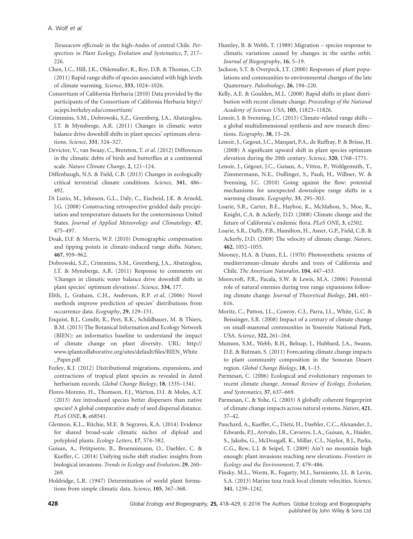*Taraxacum officinale* in the high-Andes of central Chile. *Perspectives in Plant Ecology, Evolution and Systematics*, **7**, 217– 226.

- Chen, I.C., Hill, J.K., Ohlemuller, R., Roy, D.B. & Thomas, C.D. (2011) Rapid range shifts of species associated with high levels of climate warming. *Science*, **333**, 1024–1026.
- Consortium of California Herbaria (2010) Data provided by the participants of the Consortium of California Herbaria http:// ucjeps.berkeley.edu/consortium/
- Crimmins, S.M., Dobrowski, S.Z., Greenberg, J.A., Abatzoglou, J.T. & Mynsberge, A.R. (2011) Changes in climatic water balance drive downhill shifts in plant species' optimum elevations. *Science*, **331**, 324–327.
- Devictor, V., van Swaay, C., Brereton, T. *et al*. (2012) Differences in the climatic debts of birds and butterflies at a continental scale. *Nature Climate Change*, **2**, 121–124.
- Diffenbaugh, N.S. & Field, C.B. (2013) Changes in ecologically critical terrestrial climate conditions. *Science*, **341**, 486– 492.
- Di Luzio, M., Johnson, G.L., Daly, C., Eischeid, J.K. & Arnold, J.G. (2008) Constructing retrospective gridded daily precipitation and temperature datasets for the conterminous United States. *Journal of Applied Meteorology and Climatology*, **47**, 475–497.
- Doak, D.F. & Morris, W.F. (2010) Demographic compensation and tipping points in climate-induced range shifts. *Nature*, **467**, 959–962.
- Dobrowski, S.Z., Crimmins, S.M., Greenberg, J.A., Abatzoglou, J.T. & Mynsberge, A.R. (2011) Response to comments on 'Changes in climatic water balance drive downhill shifts in plant species' optimum elevations'. *Science*, **334**, 177.
- Elith, J., Graham, C.H., Anderson, R.P. *et al*. (2006) Novel methods improve prediction of species' distributions from occurrence data. *Ecography*, **29**, 129–151.
- Enquist, B.J., Condit, R., Peet, R.K., Schildhauer, M. & Thiers, B.M. (2013) The Botanical Information and Ecology Network (BIEN): an informatics baseline to understand the impact of climate change on plant diversity. URL: http:// www.iplantcollaborative.org/sites/default/files/BIEN\_White \_Paper.pdf.
- Feeley, K.J. (2012) Distributional migrations, expansions, and contractions of tropical plant species as revealed in dated herbarium records. *Global Change Biology*, **18**, 1335–1341.
- Flores-Moreno, H., Thomson, F.J., Warton, D.I. & Moles, A.T. (2013) Are introduced species better dispersers than native species? A global comparative study of seed dispersal distance. *PLoS ONE*, **8**, e68541.
- Glennon, K.L., Ritchie, M.E. & Segraves, K.A. (2014) Evidence for shared broad-scale climatic niches of diploid and polyploid plants. *Ecology Letters*, **17**, 574–582.
- Guisan, A., Petitpierre, B., Broennimann, O., Daehler, C. & Kueffer, C. (2014) Unifying niche shift studies: insights from biological invasions. *Trends in Ecology and Evolution*, **29**, 260– 269.
- Holdridge, L.R. (1947) Determination of world plant formations from simple climatic data. *Science*, **105**, 367–368.
- Huntley, B. & Webb, T. (1989) Migration species response to climatic variations caused by changes in the earths orbit. *Journal of Biogeography*, **16**, 5–19.
- Jackson, S.T. & Overpeck, J.T. (2000) Responses of plant populations and communities to environmental changes of the late Quaternary. *Paleobiology*, **26**, 194–220.
- Kelly, A.E. & Goulden, M.L. (2008) Rapid shifts in plant distribution with recent climate change. *Proceedings of the National Academy of Sciences USA*, **105**, 11823–11826.
- Lenoir, J. & Svenning, J.C. (2015) Climate-related range shifts a global multidimensional synthesis and new research directions. *Ecography*, **38**, 15–28.
- Lenoir, J., Gegout, J.C., Marquet, P.A., de Ruffray, P. & Brisse, H. (2008) A significant upward shift in plant species optimum elevation during the 20th century. *Science*, **320**, 1768–1771.
- Lenoir, J., Gégout, J.C., Guisan, A., Vittoz, P., Wohlgemuth, T., Zimmermann, N.E., Dullinger, S., Pauli, H., Willner, W. & Svenning, J.C. (2010) Going against the flow: potential mechanisms for unexpected downslope range shifts in a warming climate. *Ecography*, **33**, 295–303.
- Loarie, S.R., Carter, B.E., Hayhoe, K., McMahon, S., Moe, R., Knight, C.A. & Ackerly, D.D. (2008) Climate change and the future of California's endemic flora. *PLoS ONE*, **3**, e2502.
- Loarie, S.R., Duffy, P.B., Hamilton, H., Asner, G.P., Field, C.B. & Ackerly, D.D. (2009) The velocity of climate change. *Nature*, **462**, 1052–1055.
- Mooney, H.A. & Dunn, E.L. (1970) Photosynthetic systems of mediterranean-climate shrubs and trees of California and Chile. *The American Naturalist*, **104**, 447–453.
- Moorcroft, P.R., Pacala, S.W. & Lewis, M.A. (2006) Potential role of natural enemies during tree range expansions following climate change. *Journal of Theoretical Biology*, **241**, 601– 616.
- Moritz, C., Patton, J.L., Conroy, C.J., Parra, J.L., White, G.C. & Beissinger, S.R. (2008) Impact of a century of climate change on small-mammal communities in Yosemite National Park, USA. *Science*, **322**, 261–264.
- Munson, S.M., Webb, R.H., Belnap, J., Hubbard, J.A., Swann, D.E. & Rutman, S. (2011) Forecasting climate change impacts to plant community composition in the Sonoran Desert region. *Global Change Biology*, **18**, 1–13.
- Parmesan, C. (2006) Ecological and evolutionary responses to recent climate change. *Annual Review of Ecology, Evolution, and Systematics*, **37**, 637–669.
- Parmesan, C. & Yohe, G. (2003) A globally coherent fingerprint of climate change impacts across natural systems. *Nature*, **421**, 37–42.
- Pauchard, A., Kueffer, C., Dietz, H., Daehler, C.C., Alexander, J., Edwards, P.J., Arévalo, J.R., Cavieres, L.A., Guisan, A., Haider, S., Jakobs, G., McDougall, K., Millar, C.I., Naylor, B.J., Parks, C.G., Rew, L.J. & Seipel, T. (2009) Ain't no mountain high enough: plant invasions reaching new elevations. *Frontiers in Ecology and the Environment*, **7**, 479–486.
- Pinsky, M.L., Worm, B., Fogarty, M.J., Sarmiento, J.L. & Levin, S.A. (2013) Marine taxa track local climate velocities. *Science*, **341**, 1239–1242.